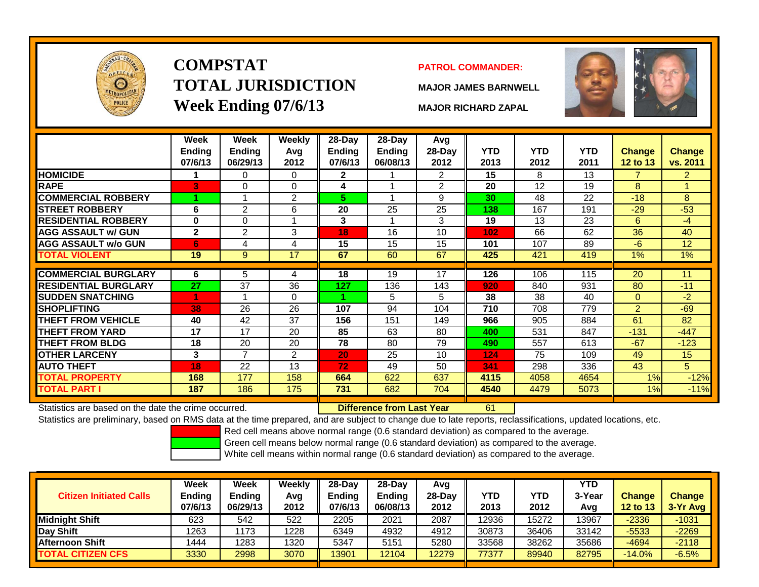

# **COMPSTATTOTAL JURISDICTIONWeek Ending 07/6/13 MAJOR RICHARD ZAPAL**

## **PATROL COMMANDER:**

**MAJOR JAMES BARNWELL**



|                                                      | Week<br><b>Ending</b><br>07/6/13 | Week<br><b>Ending</b><br>06/29/13 | <b>Weekly</b><br>Avg<br>2012 | 28-Day<br>Ending<br>07/6/13 | 28-Day<br><b>Ending</b><br>06/08/13 | Avg<br>$28-Day$<br>2012 | <b>YTD</b><br>2013 | <b>YTD</b><br>2012 | <b>YTD</b><br>2011 | Change<br>12 to 13 | <b>Change</b><br>vs. 2011 |
|------------------------------------------------------|----------------------------------|-----------------------------------|------------------------------|-----------------------------|-------------------------------------|-------------------------|--------------------|--------------------|--------------------|--------------------|---------------------------|
| <b>HOMICIDE</b>                                      |                                  | 0                                 | 0                            | $\mathbf{2}$                |                                     | $\overline{2}$          | 15                 | 8                  | 13                 | 7                  | $\overline{2}$            |
| <b>RAPE</b>                                          | 3                                | 0                                 | $\Omega$                     | 4                           |                                     | 2                       | 20                 | 12 <sup>2</sup>    | 19                 | 8                  |                           |
| <b>COMMERCIAL ROBBERY</b>                            |                                  |                                   | $\overline{2}$               | 5.                          | 1                                   | 9                       | 30                 | 48                 | 22                 | $-18$              | 8                         |
| <b>STREET ROBBERY</b>                                | 6                                | $\overline{2}$                    | 6                            | 20                          | 25                                  | 25                      | 138                | 167                | 191                | $-29$              | $-53$                     |
| <b>RESIDENTIAL ROBBERY</b>                           | $\bf{0}$                         | 0                                 | 4                            | 3                           | 1                                   | 3                       | 19                 | 13                 | 23                 | 6                  | $-4$                      |
| <b>AGG ASSAULT w/ GUN</b>                            | $\mathbf{2}$                     | $\overline{2}$                    | 3                            | 18                          | 16                                  | 10                      | 102                | 66                 | 62                 | 36                 | 40                        |
| <b>AGG ASSAULT w/o GUN</b>                           | 6                                | 4                                 | 4                            | 15                          | 15                                  | 15                      | 101                | 107                | 89                 | $-6$               | 12                        |
| <b>TOTAL VIOLENT</b>                                 | 19                               | 9                                 | 17                           | 67                          | 60                                  | 67                      | 425                | 421                | 419                | 1%                 | 1%                        |
|                                                      |                                  |                                   |                              |                             |                                     |                         |                    |                    |                    |                    |                           |
| <b>COMMERCIAL BURGLARY</b>                           | 6                                | 5                                 | 4                            | 18                          | 19                                  | 17                      | 126                | 106                | 115                | 20                 | 11                        |
| <b>RESIDENTIAL BURGLARY</b>                          | 27                               | 37                                | 36                           | 127                         | 136                                 | 143                     | 920                | 840                | 931                | 80                 | $-11$                     |
| <b>SUDDEN SNATCHING</b>                              | 4                                |                                   | $\Omega$                     |                             | 5                                   | 5                       | 38                 | 38                 | 40                 | $\mathbf{0}$       | $-2$                      |
| <b>SHOPLIFTING</b>                                   | 38                               | 26                                | 26                           | 107                         | 94                                  | 104                     | 710                | 708                | 779                | 2                  | $-69$                     |
| <b>THEFT FROM VEHICLE</b>                            | 40                               | 42                                | 37                           | 156                         | 151                                 | 149                     | 966                | 905                | 884                | 61                 | 82                        |
| <b>THEFT FROM YARD</b>                               | 17                               | 17                                | 20                           | 85                          | 63                                  | 80                      | 400                | 531                | 847                | $-131$             | $-447$                    |
| <b>THEFT FROM BLDG</b>                               | 18                               | 20                                | 20                           | 78                          | 80                                  | 79                      | 490                | 557                | 613                | $-67$              | $-123$                    |
| <b>OTHER LARCENY</b>                                 | 3                                | 7                                 | $\overline{2}$               | 20                          | 25                                  | 10                      | 124                | 75                 | 109                | 49                 | 15                        |
| <b>AUTO THEFT</b>                                    | 18                               | 22                                | 13                           | 72                          | 49                                  | 50                      | 341                | 298                | 336                | 43                 | 5                         |
| <b>TOTAL PROPERTY</b>                                | 168                              | 177                               | 158                          | 664                         | 622                                 | 637                     | 4115               | 4058               | 4654               | 1%                 | $-12%$                    |
| <b>TOTAL PART I</b>                                  | 187                              | 186                               | 175                          | 731                         | 682                                 | 704                     | 4540               | 4479               | 5073               | 1%                 | $-11%$                    |
| Statistics are based on the date the crime occurred. |                                  |                                   |                              |                             | Difference from Last Year           |                         | 61                 |                    |                    |                    |                           |

Statistics are based on the date the crime occurred. **Difference from Last Year** 

Statistics are preliminary, based on RMS data at the time prepared, and are subject to change due to late reports, reclassifications, updated locations, etc.

Red cell means above normal range (0.6 standard deviation) as compared to the average.

Green cell means below normal range (0.6 standard deviation) as compared to the average.

| <b>Citizen Initiated Calls</b> | Week<br><b>Ending</b><br>07/6/13 | Week<br><b>Ending</b><br>06/29/13 | Weekly<br>Avg<br>2012 | $28$ -Dav<br>Ending<br>07/6/13 | $28-Day$<br><b>Ending</b><br>06/08/13 | Avg<br>28-Dav<br>2012 | YTD<br>2013 | <b>YTD</b><br>2012 | <b>YTD</b><br>3-Year<br>Avg | <b>Change</b><br><b>12 to 13</b> | <b>Change</b><br>3-Yr Avg |
|--------------------------------|----------------------------------|-----------------------------------|-----------------------|--------------------------------|---------------------------------------|-----------------------|-------------|--------------------|-----------------------------|----------------------------------|---------------------------|
| <b>Midnight Shift</b>          | 623                              | 542                               | 522                   | 2205                           | 2021                                  | 2087                  | 12936       | 15272              | 13967                       | $-2336$                          | $-1031$                   |
| Day Shift                      | 1263                             | 173                               | 1228                  | 6349                           | 4932                                  | 4912                  | 30873       | 36406              | 33142                       | $-5533$                          | $-2269$                   |
| <b>Afternoon Shift</b>         | 1444                             | 1283                              | 1320                  | 5347                           | 5151                                  | 5280                  | 33568       | 38262              | 35686                       | $-4694$                          | $-2118$                   |
| <b>TOTAL CITIZEN CFS</b>       | 3330                             | 2998                              | 3070                  | 3901                           | 12104                                 | 2279                  | 77377       | 89940              | 82795                       | $-14.0%$                         | $-6.5%$                   |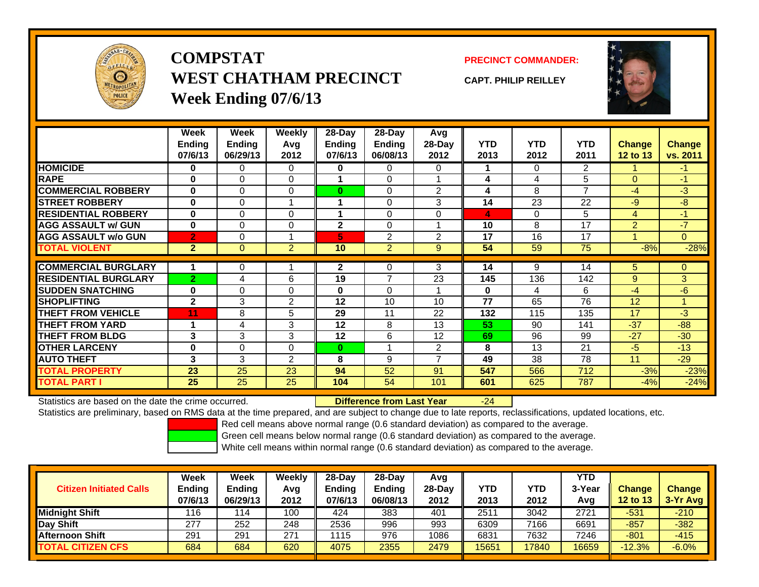

**COMPSTATWEST CHATHAM PRECINCTWeek Ending 07/6/13**

**PRECINCT COMMANDER:**

**CAPT. PHILIP REILLEY**



|                             | Week           | Week          | Weekly         | 28-Day         | 28-Day         | <b>Avg</b>     |              |            |                |                |                |
|-----------------------------|----------------|---------------|----------------|----------------|----------------|----------------|--------------|------------|----------------|----------------|----------------|
|                             | <b>Ending</b>  | <b>Ending</b> | Avg            | <b>Ending</b>  | <b>Ending</b>  | 28-Day         | <b>YTD</b>   | <b>YTD</b> | <b>YTD</b>     | <b>Change</b>  | Change         |
|                             | 07/6/13        | 06/29/13      | 2012           | 07/6/13        | 06/08/13       | 2012           | 2013         | 2012       | 2011           | 12 to 13       | vs. 2011       |
| <b>HOMICIDE</b>             | 0              | 0             | 0              | 0              | 0              | $\Omega$       |              | 0          | $\overline{2}$ |                | $\blacksquare$ |
| <b>RAPE</b>                 | 0              | $\Omega$      | $\Omega$       |                | 0              |                | 4            | 4          | 5              | $\Omega$       | $-1$           |
| <b>COMMERCIAL ROBBERY</b>   | $\bf{0}$       | $\Omega$      | $\Omega$       | $\bf{0}$       | $\Omega$       | $\overline{2}$ | 4            | 8          | $\overline{7}$ | $-4$           | $-3$           |
| <b>STREET ROBBERY</b>       | 0              | $\Omega$      | 1              |                | 0              | 3              | 14           | 23         | 22             | $-9$           | -8             |
| <b>RESIDENTIAL ROBBERY</b>  | $\mathbf{0}$   | $\Omega$      | $\Omega$       |                | $\Omega$       | $\Omega$       | 4            | $\Omega$   | 5              | $\overline{4}$ | $-1$           |
| <b>AGG ASSAULT w/ GUN</b>   | $\bf{0}$       | $\Omega$      | 0              | $\overline{2}$ | $\Omega$       |                | 10           | 8          | 17             | $\overline{2}$ | $-7$           |
| <b>AGG ASSAULT w/o GUN</b>  | $\overline{2}$ | 0             | 4              | 5              | $\overline{2}$ | $\overline{2}$ | 17           | 16         | 17             |                | $\overline{0}$ |
| <b>TOTAL VIOLENT</b>        | $\overline{2}$ | $\Omega$      | $\overline{2}$ | 10             | $\overline{2}$ | 9              | 54           | 59         | 75             | $-8%$          | $-28%$         |
|                             |                |               |                |                |                |                |              |            |                |                |                |
| <b>COMMERCIAL BURGLARY</b>  |                | $\Omega$      |                | 2              | 0              | 3              | 14           | 9          | 14             | 5              | 0              |
| <b>RESIDENTIAL BURGLARY</b> | $\overline{2}$ | 4             | 6              | 19             | $\overline{ }$ | 23             | 145          | 136        | 142            | 9              | 3              |
| <b>SUDDEN SNATCHING</b>     | 0              | $\Omega$      | $\Omega$       | $\bf{0}$       | $\Omega$       |                | $\mathbf{0}$ | 4          | 6              | -4             | $-6$           |
| <b>SHOPLIFTING</b>          | $\mathbf{2}$   | 3             | 2              | 12             | 10             | 10             | 77           | 65         | 76             | 12             | 1              |
| <b>THEFT FROM VEHICLE</b>   | 11             | 8             | 5              | 29             | 11             | 22             | 132          | 115        | 135            | 17             | $-3$           |
| <b>THEFT FROM YARD</b>      | 1              | 4             | 3              | 12             | 8              | 13             | 53           | 90         | 141            | $-37$          | $-88$          |
| <b>THEFT FROM BLDG</b>      | 3              | 3             | 3              | 12             | 6              | 12             | 69           | 96         | 99             | $-27$          | $-30$          |
| <b>OTHER LARCENY</b>        | 0              | $\Omega$      | $\Omega$       | $\bf{0}$       |                | $\overline{2}$ | 8            | 13         | 21             | $-5$           | $-13$          |
| <b>AUTO THEFT</b>           | 3              | 3             | 2              | 8              | 9              | $\overline{ }$ | 49           | 38         | 78             | 11             | $-29$          |
| <b>TOTAL PROPERTY</b>       | 23             | 25            | 23             | 94             | 52             | 91             | 547          | 566        | 712            | $-3%$          | $-23%$         |
| <b>TOTAL PART I</b>         | 25             | 25            | 25             | 104            | 54             | 101            | 601          | 625        | 787            | $-4%$          | $-24%$         |

Statistics are based on the date the crime occurred. **Difference from Last Year** 

Statistics are preliminary, based on RMS data at the time prepared, and are subject to change due to late reports, reclassifications, updated locations, etc.

-24

Red cell means above normal range (0.6 standard deviation) as compared to the average.

Green cell means below normal range (0.6 standard deviation) as compared to the average.

| <b>Citizen Initiated Calls</b> | Week<br><b>Ending</b><br>07/6/13 | <b>Week</b><br><b>Ending</b><br>06/29/13 | Weekly<br>Avg<br>2012 | $28-Dav$<br>Ending<br>07/6/13 | 28-Dav<br><b>Ending</b><br>06/08/13 | Avg<br>28-Dav<br>2012 | YTD<br>2013 | YTD<br>2012 | YTD<br>3-Year<br>Avg | <b>Change</b><br><b>12 to 13</b> | Change<br>$3-Yr$ Avg |
|--------------------------------|----------------------------------|------------------------------------------|-----------------------|-------------------------------|-------------------------------------|-----------------------|-------------|-------------|----------------------|----------------------------------|----------------------|
| <b>Midnight Shift</b>          | 116                              | ' 14                                     | 100                   | 424                           | 383                                 | 401                   | 2511        | 3042        | 2721                 | $-531$                           | $-210$               |
| Day Shift                      | 277                              | 252                                      | 248                   | 2536                          | 996                                 | 993                   | 6309        | 7166        | 6691                 | $-857$                           | $-382$               |
| <b>Afternoon Shift</b>         | 291                              | 291                                      | 271                   | 1115                          | 976                                 | 1086                  | 6831        | 7632        | 7246                 | $-801$                           | $-415$               |
| <b>TOTAL CITIZEN CFS</b>       | 684                              | 684                                      | 620                   | 4075                          | 2355                                | 2479                  | 15651       | 17840       | 16659                | $-12.3%$                         | $-6.0%$              |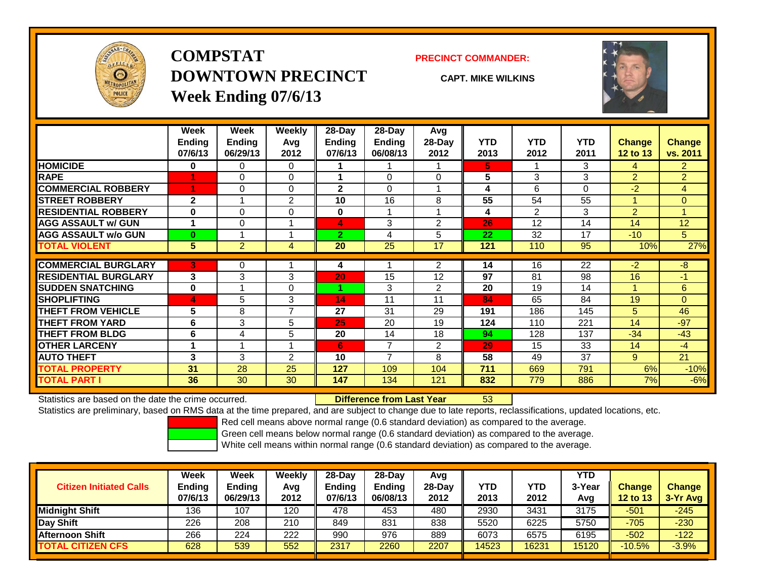

## **COMPSTATDOWNTOWN PRECINCTWeek Ending 07/6/13**

### **PRECINCT COMMANDER:**

**CAPT. MIKE WILKINS**



|                             | Week          | Week           | <b>Weekly</b>  | $28$ -Day      | $28-Day$       | Avg            |            |            |            |                |                |
|-----------------------------|---------------|----------------|----------------|----------------|----------------|----------------|------------|------------|------------|----------------|----------------|
|                             | <b>Ending</b> | <b>Ending</b>  | Avg            | <b>Ending</b>  | <b>Ending</b>  | 28-Day         | <b>YTD</b> | <b>YTD</b> | <b>YTD</b> | <b>Change</b>  | Change         |
|                             | 07/6/13       | 06/29/13       | 2012           | 07/6/13        | 06/08/13       | 2012           | 2013       | 2012       | 2011       | 12 to 13       | vs. 2011       |
| <b>HOMICIDE</b>             | 0             | 0              | 0              |                |                |                | 5.         |            | 3          | 4              | $\overline{2}$ |
| <b>RAPE</b>                 |               | 0              | $\Omega$       |                | 0              | $\Omega$       | 5          | 3          | 3          | $\overline{2}$ | $\overline{2}$ |
| <b>COMMERCIAL ROBBERY</b>   |               | 0              | 0              | $\mathbf{2}$   | $\Omega$       |                | 4          | 6          | 0          | -2             | $\overline{4}$ |
| <b>ISTREET ROBBERY</b>      | $\mathbf{2}$  |                | 2              | 10             | 16             | 8              | 55         | 54         | 55         |                | $\Omega$       |
| <b>RESIDENTIAL ROBBERY</b>  | $\bf{0}$      | 0              | 0              | $\bf{0}$       | 1              |                | 4          | 2          | 3          | $\overline{2}$ | $\overline{A}$ |
| <b>AGG ASSAULT w/ GUN</b>   | 1             | 0              |                | 4              | 3              | $\overline{2}$ | 26         | 12         | 14         | 14             | 12             |
| <b>AGG ASSAULT w/o GUN</b>  | $\bf{0}$      |                |                | $\overline{2}$ | 4              | 5              | 22         | 32         | 17         | $-10^{-}$      | 5              |
| <b>TOTAL VIOLENT</b>        | 5             | $\overline{2}$ | 4              | 20             | 25             | 17             | 121        | 110        | 95         | 10%            | 27%            |
| <b>COMMERCIAL BURGLARY</b>  | 3             | 0              |                | 4              |                | 2              | 14         | 16         | 22         | -2             | $-8$           |
| <b>RESIDENTIAL BURGLARY</b> | 3             | 3              | 3              | 20             | 15             | 12             | 97         | 81         | 98         | 16             | $-1$           |
| <b>SUDDEN SNATCHING</b>     | 0             |                | 0              |                | 3              | 2              | 20         | 19         | 14         |                | 6              |
| <b>SHOPLIFTING</b>          | 4             | 5              | 3              | 14             | 11             | 11             | 84         | 65         | 84         | 19             | $\Omega$       |
| <b>THEFT FROM VEHICLE</b>   | 5             | 8              | $\overline{ }$ | 27             | 31             | 29             | 191        | 186        | 145        | 5              | 46             |
| <b>THEFT FROM YARD</b>      | 6             | 3              | 5              | 25             | 20             | 19             | 124        | 110        | 221        | 14             | $-97$          |
| <b>THEFT FROM BLDG</b>      | 6             | 4              | 5              | 20             | 14             | 18             | 94         | 128        | 137        | $-34$          | $-43$          |
| <b>OTHER LARCENY</b>        | 1             |                |                | 6              | $\overline{7}$ | 2              | 29         | 15         | 33         | 14             | $-4$           |
| <b>AUTO THEFT</b>           | 3             | 3              | $\overline{2}$ | 10             | $\overline{7}$ | 8              | 58         | 49         | 37         | 9              | 21             |
| <b>TOTAL PROPERTY</b>       | 31            | 28             | 25             | 127            | 109            | 104            | 711        | 669        | 791        | 6%             | $-10%$         |
| <b>TOTAL PART I</b>         | 36            | 30             | 30             | 147            | 134            | 121            | 832        | 779        | 886        | 7%             | $-6%$          |

Statistics are based on the date the crime occurred. **Difference from Last Year** 

### r 53

Statistics are preliminary, based on RMS data at the time prepared, and are subject to change due to late reports, reclassifications, updated locations, etc.

Red cell means above normal range (0.6 standard deviation) as compared to the average.

Green cell means below normal range (0.6 standard deviation) as compared to the average.

| <b>Citizen Initiated Calls</b> | Week<br><b>Ending</b><br>07/6/13 | Week<br>Ending<br>06/29/13 | Weekly<br>Avg<br>2012 | $28-Day$<br><b>Ending</b><br>07/6/13 | $28-Dav$<br>Ending<br>06/08/13 | Avg<br>28-Dav<br>2012 | <b>YTD</b><br>2013 | YTD<br>2012 | <b>YTD</b><br>3-Year<br>Avg | <b>Change</b><br>12 to 13 | <b>Change</b><br>3-Yr Avg |
|--------------------------------|----------------------------------|----------------------------|-----------------------|--------------------------------------|--------------------------------|-----------------------|--------------------|-------------|-----------------------------|---------------------------|---------------------------|
| <b>Midnight Shift</b>          | 136                              | 107                        | 120                   | 478                                  | 453                            | 480                   | 2930               | 3431        | 3175                        | $-501$                    | $-245$                    |
| Day Shift                      | 226                              | 208                        | 210                   | 849                                  | 831                            | 838                   | 5520               | 6225        | 5750                        | $-705$                    | $-230$                    |
| Afternoon Shift                | 266                              | 224                        | 222                   | 990                                  | 976                            | 889                   | 6073               | 6575        | 6195                        | $-502$                    | $-122$                    |
| <b>TOTAL CITIZEN CFS</b>       | 628                              | 539                        | 552                   | 2317                                 | 2260                           | 2207                  | 14523              | 16231       | 15120                       | $-10.5%$                  | $-3.9%$                   |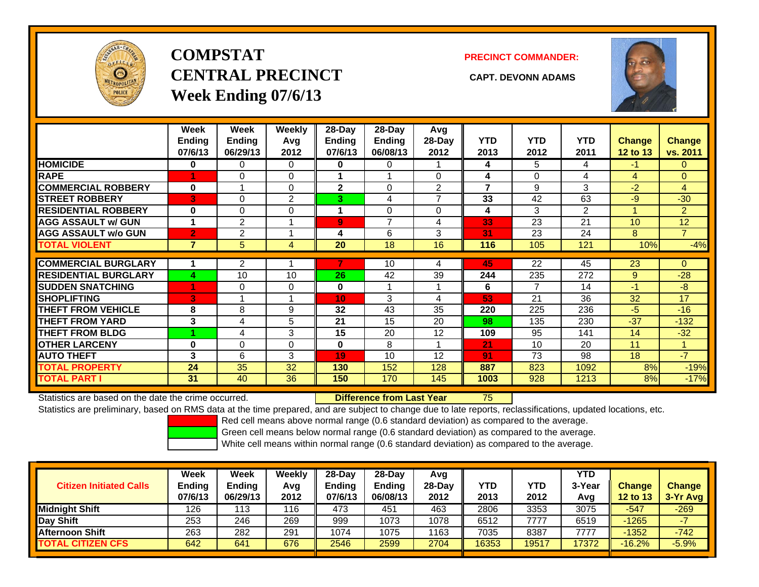

# **COMPSTATCENTRAL PRECINCT CAPT. DEVONN ADAMSWeek Ending 07/6/13**

**PRECINCT COMMANDER:**



|                             | Week<br><b>Ending</b><br>07/6/13 | Week<br><b>Ending</b><br>06/29/13 | <b>Weekly</b><br>Avq<br>2012 | $28$ -Day<br>Ending<br>07/6/13 | $28$ -Day<br><b>Ending</b><br>06/08/13 | Avg<br>$28-Day$<br>2012  | <b>YTD</b><br>2013       | <b>YTD</b><br>2012 | <b>YTD</b><br>2011 | <b>Change</b><br>12 to 13 | Change<br>vs. 2011 |
|-----------------------------|----------------------------------|-----------------------------------|------------------------------|--------------------------------|----------------------------------------|--------------------------|--------------------------|--------------------|--------------------|---------------------------|--------------------|
| <b>HOMICIDE</b>             | 0                                | 0                                 | 0                            | 0                              | 0                                      |                          | 4                        | 5                  | 4                  | -1                        | 0                  |
| <b>RAPE</b>                 | 4                                | 0                                 | $\Omega$                     |                                |                                        | 0                        | 4                        | $\Omega$           | 4                  | 4                         | $\overline{0}$     |
| <b>COMMERCIAL ROBBERY</b>   | $\bf{0}$                         |                                   | $\Omega$                     | $\mathbf{2}$                   | $\Omega$                               | $\overline{2}$           | $\overline{\phantom{a}}$ | 9                  | 3                  | $-2$                      | $\overline{4}$     |
| <b>STREET ROBBERY</b>       | 3                                | 0                                 | $\overline{2}$               | 3                              | 4                                      | $\overline{\phantom{a}}$ | 33                       | 42                 | 63                 | $-9$                      | $-30$              |
| <b>RESIDENTIAL ROBBERY</b>  | $\bf{0}$                         | 0                                 | 0                            |                                | $\Omega$                               | $\Omega$                 | 4                        | 3                  | 2                  |                           | $\overline{2}$     |
| <b>AGG ASSAULT w/ GUN</b>   | 1                                | $\overline{2}$                    |                              | $\overline{9}$                 | $\overline{ }$                         | 4                        | 33                       | 23                 | 21                 | 10                        | 12                 |
| <b>AGG ASSAULT w/o GUN</b>  | $\overline{2}$                   | 2                                 |                              | 4                              | 6                                      | 3                        | $\overline{31}$          | 23                 | 24                 | 8                         | $\overline{7}$     |
| <b>TOTAL VIOLENT</b>        | 7                                | 5                                 | 4                            | 20                             | 18                                     | 16                       | 116                      | 105                | 121                | 10%                       | $-4%$              |
|                             |                                  |                                   |                              |                                |                                        |                          |                          |                    |                    |                           |                    |
| <b>COMMERCIAL BURGLARY</b>  |                                  | 2                                 |                              |                                | 10                                     | 4                        | 45                       | 22                 | 45                 | 23                        | $\Omega$           |
| <b>RESIDENTIAL BURGLARY</b> | 4                                | 10                                | 10                           | 26                             | 42                                     | 39                       | 244                      | 235                | 272                | 9                         | $-28$              |
| <b>SUDDEN SNATCHING</b>     | 4                                | 0                                 | $\Omega$                     | $\bf{0}$                       |                                        |                          | 6                        | $\overline{7}$     | 14                 | $-1$                      | -8                 |
| <b>SHOPLIFTING</b>          | 3                                |                                   |                              | 10                             | 3                                      | 4                        | 53                       | 21                 | 36                 | 32                        | 17                 |
| <b>THEFT FROM VEHICLE</b>   | 8                                | 8                                 | 9                            | 32                             | 43                                     | 35                       | 220                      | 225                | 236                | $-5$                      | $-16$              |
| <b>THEFT FROM YARD</b>      | 3                                | 4                                 | 5                            | 21                             | 15                                     | 20                       | 98                       | 135                | 230                | $-37$                     | $-132$             |
| <b>THEFT FROM BLDG</b>      |                                  | 4                                 | 3                            | 15                             | 20                                     | 12                       | 109                      | 95                 | 141                | 14                        | $-32$              |
| <b>OTHER LARCENY</b>        | $\bf{0}$                         | 0                                 | $\Omega$                     | $\bf{0}$                       | 8                                      | 1                        | 21                       | 10                 | 20                 | 11                        |                    |
| <b>AUTO THEFT</b>           | 3                                | 6                                 | 3                            | 19                             | 10                                     | 12                       | 91                       | 73                 | 98                 | 18                        | $-7$               |
| <b>TOTAL PROPERTY</b>       | 24                               | 35                                | 32                           | 130                            | 152                                    | 128                      | 887                      | 823                | 1092               | 8%                        | $-19%$             |
| <b>TOTAL PART I</b>         | 31                               | 40                                | 36                           | 150                            | 170                                    | 145                      | 1003                     | 928                | 1213               | 8%                        | $-17%$             |

Statistics are based on the date the crime occurred. **Difference from Last Year** 

75

Statistics are preliminary, based on RMS data at the time prepared, and are subject to change due to late reports, reclassifications, updated locations, etc.

Red cell means above normal range (0.6 standard deviation) as compared to the average.

Green cell means below normal range (0.6 standard deviation) as compared to the average.

| <b>Citizen Initiated Calls</b> | Week<br><b>Ending</b><br>07/6/13 | Week<br>Ending<br>06/29/13 | Weekly<br>Avg<br>2012 | 28-Day<br><b>Ending</b><br>07/6/13 | 28-Day<br><b>Ending</b><br>06/08/13 | Avg<br>$28-Day$<br>2012 | <b>YTD</b><br>2013 | <b>YTD</b><br>2012 | <b>YTD</b><br>3-Year<br>Avg | <b>Change</b><br>12 to 13 | <b>Change</b><br>$3-Yr$ Avg |
|--------------------------------|----------------------------------|----------------------------|-----------------------|------------------------------------|-------------------------------------|-------------------------|--------------------|--------------------|-----------------------------|---------------------------|-----------------------------|
| <b>Midnight Shift</b>          | 126                              | 113                        | 116                   | 473                                | 451                                 | 463                     | 2806               | 3353               | 3075                        | $-547$                    | $-269$                      |
| Day Shift                      | 253                              | 246                        | 269                   | 999                                | 1073                                | 1078                    | 6512               | 7777               | 6519                        | -1265                     |                             |
| <b>Afternoon Shift</b>         | 263                              | 282                        | 291                   | 1074                               | 1075                                | 1163                    | 7035               | 8387               | 7777                        | $-1352$                   | $-742$                      |
| <b>TOTAL CITIZEN CFS</b>       | 642                              | 641                        | 676                   | 2546                               | 2599                                | 2704                    | 16353              | 19517              | 7372                        | $-16.2%$                  | $-5.9%$                     |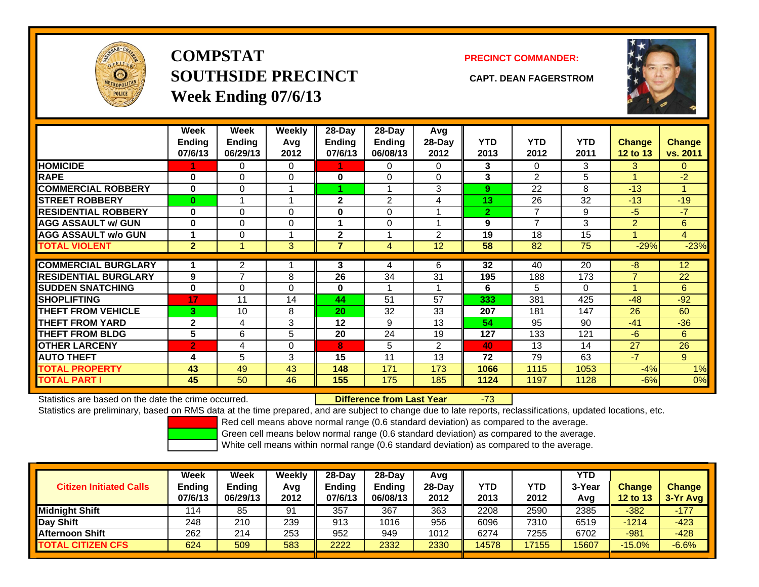

**COMPSTATSOUTHSIDE PRECINCT CAPT. DEAN FAGERSTROMWeek Ending 07/6/13**

### **PRECINCT COMMANDER:**



|                             | Week<br><b>Ending</b><br>07/6/13 | Week<br>Ending<br>06/29/13 | Weekly<br>Avg<br>2012 | $28$ -Day<br><b>Ending</b><br>07/6/13 | $28-Day$<br><b>Ending</b><br>06/08/13 | Avg<br>$28-Day$<br>2012 | <b>YTD</b><br>2013 | <b>YTD</b><br>2012 | <b>YTD</b><br>2011 | <b>Change</b><br>12 to 13 | Change<br>vs. 2011 |
|-----------------------------|----------------------------------|----------------------------|-----------------------|---------------------------------------|---------------------------------------|-------------------------|--------------------|--------------------|--------------------|---------------------------|--------------------|
| <b>HOMICIDE</b>             |                                  | 0                          | 0                     |                                       | 0                                     | 0                       | 3                  | $\Omega$           | 3                  | 3                         | 0                  |
| <b>RAPE</b>                 | $\bf{0}$                         | $\Omega$                   | 0                     | 0                                     | 0                                     | $\Omega$                | 3                  | $\mathfrak{p}$     | 5                  |                           | $-2$               |
| <b>COMMERCIAL ROBBERY</b>   | 0                                | $\Omega$                   |                       |                                       |                                       | 3                       | 9                  | 22                 | 8                  | $-13$                     | -1                 |
| <b>STREET ROBBERY</b>       | $\bf{0}$                         |                            |                       | $\mathbf{2}$                          | 2                                     | 4                       | 13                 | 26                 | 32                 | $-13$                     | $-19$              |
| <b>RESIDENTIAL ROBBERY</b>  | $\bf{0}$                         | $\Omega$                   | $\mathbf{0}$          | 0                                     | 0                                     |                         | $\overline{2}$     | 7                  | 9                  | -5                        | $-7$               |
| <b>AGG ASSAULT w/ GUN</b>   | $\bf{0}$                         | 0                          | 0                     | 1                                     | $\Omega$                              |                         | 9                  | $\overline{7}$     | 3                  | $\overline{2}$            | 6                  |
| <b>AGG ASSAULT w/o GUN</b>  | 1                                | $\Omega$                   |                       | $\mathbf{2}$                          |                                       | 2                       | 19                 | 18                 | 15                 |                           | $\overline{4}$     |
| <b>TOTAL VIOLENT</b>        | $\overline{2}$                   |                            | 3                     | 7                                     | 4                                     | 12                      | 58                 | 82                 | 75                 | $-29%$                    | $-23%$             |
| <b>COMMERCIAL BURGLARY</b>  | 1                                | 2                          |                       | 3                                     | 4                                     | 6                       | 32                 | 40                 | 20                 | -8                        | 12                 |
| <b>RESIDENTIAL BURGLARY</b> | 9                                | 7                          | 8                     | 26                                    | 34                                    | 31                      | 195                | 188                | 173                | $\overline{7}$            | 22                 |
| <b>SUDDEN SNATCHING</b>     | $\bf{0}$                         | 0                          | $\Omega$              | 0                                     | 1                                     |                         | 6                  | 5                  | 0                  |                           | 6                  |
| <b>SHOPLIFTING</b>          | 17                               | 11                         | 14                    | 44                                    | 51                                    | 57                      | 333                | 381                | 425                | $-48$                     | $-92$              |
| <b>THEFT FROM VEHICLE</b>   | 3                                | 10                         | 8                     | 20                                    | 32                                    | 33                      | 207                | 181                | 147                | 26                        | 60                 |
| <b>THEFT FROM YARD</b>      | 2                                | 4                          | 3                     | 12                                    | 9                                     | 13                      | 54                 | 95                 | 90                 | $-41$                     | $-36$              |
| <b>THEFT FROM BLDG</b>      | 5                                | 6                          | 5                     | 20                                    | 24                                    | 19                      | 127                | 133                | 121                | $-6$                      | 6                  |
| <b>OTHER LARCENY</b>        | $\overline{2}$                   | 4                          | $\Omega$              | 8                                     | 5                                     | 2                       | 40                 | 13                 | 14                 | 27                        | 26                 |
| <b>AUTO THEFT</b>           | 4                                | 5                          | 3                     | 15                                    | 11                                    | 13                      | 72                 | 79                 | 63                 | $-7$                      | 9                  |
| <b>TOTAL PROPERTY</b>       | 43                               | 49                         | 43                    | 148                                   | 171                                   | 173                     | 1066               | 1115               | 1053               | $-4%$                     | 1%                 |
| <b>TOTAL PART I</b>         | 45                               | 50                         | 46                    | 155                                   | 175                                   | 185                     | 1124               | 1197               | 1128               | $-6%$                     | 0%                 |

Statistics are based on the date the crime occurred. **Difference from Last Year** 

### r -73

Statistics are preliminary, based on RMS data at the time prepared, and are subject to change due to late reports, reclassifications, updated locations, etc.

Red cell means above normal range (0.6 standard deviation) as compared to the average.

Green cell means below normal range (0.6 standard deviation) as compared to the average.

| <b>Citizen Initiated Calls</b> | Week<br><b>Ending</b><br>07/6/13 | Week<br>Ending<br>06/29/13 | Weekly<br>Avg<br>2012 | $28-Dav$<br><b>Ending</b><br>07/6/13 | $28$ -Dav<br><b>Ending</b><br>06/08/13 | Avg<br>28-Dav<br>2012 | YTD<br>2013 | YTD<br>2012 | <b>YTD</b><br>3-Year<br>Avg | <b>Change</b><br>12 to 13 | <b>Change</b><br>$3-Yr$ Avg |
|--------------------------------|----------------------------------|----------------------------|-----------------------|--------------------------------------|----------------------------------------|-----------------------|-------------|-------------|-----------------------------|---------------------------|-----------------------------|
| <b>Midnight Shift</b>          | 114                              | 85                         | 91                    | 357                                  | 367                                    | 363                   | 2208        | 2590        | 2385                        | $-382$                    | $-177$                      |
| Day Shift                      | 248                              | 210                        | 239                   | 913                                  | 1016                                   | 956                   | 6096        | 7310        | 6519                        | $-1214$                   | $-423$                      |
| <b>Afternoon Shift</b>         | 262                              | 214                        | 253                   | 952                                  | 949                                    | 1012                  | 6274        | 7255        | 6702                        | -981                      | $-428$                      |
| <b>TOTAL CITIZEN CFS</b>       | 624                              | 509                        | 583                   | 2222                                 | 2332                                   | 2330                  | 14578       | 17155       | 5607                        | $-15.0%$                  | $-6.6%$                     |